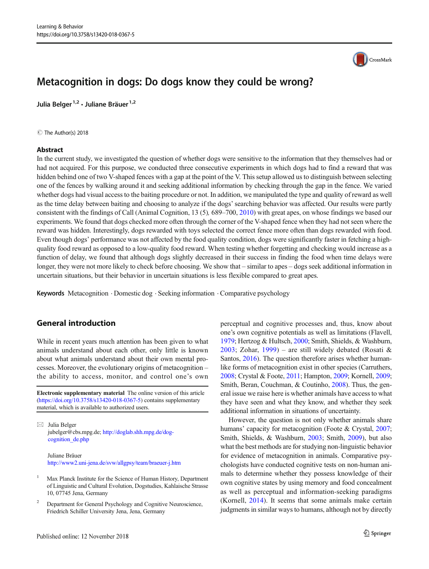

# Metacognition in dogs: Do dogs know they could be wrong?

Julia Belger<sup>1,2</sup> · Juliane Bräuer<sup>1,2</sup>

C The Author(s) 2018

#### Abstract

In the current study, we investigated the question of whether dogs were sensitive to the information that they themselves had or had not acquired. For this purpose, we conducted three consecutive experiments in which dogs had to find a reward that was hidden behind one of two V-shaped fences with a gap at the point of the V. This setup allowed us to distinguish between selecting one of the fences by walking around it and seeking additional information by checking through the gap in the fence. We varied whether dogs had visual access to the baiting procedure or not. In addition, we manipulated the type and quality of reward as well as the time delay between baiting and choosing to analyze if the dogs' searching behavior was affected. Our results were partly consistent with the findings of Call (Animal Cognition, 13 (5), 689–700, [2010](#page-14-0)) with great apes, on whose findings we based our experiments. We found that dogs checked more often through the corner of the V-shaped fence when they had not seen where the reward was hidden. Interestingly, dogs rewarded with toys selected the correct fence more often than dogs rewarded with food. Even though dogs' performance was not affected by the food quality condition, dogs were significantly faster in fetching a highquality food reward as opposed to a low-quality food reward. When testing whether forgetting and checking would increase as a function of delay, we found that although dogs slightly decreased in their success in finding the food when time delays were longer, they were not more likely to check before choosing. We show that – similar to apes – dogs seek additional information in uncertain situations, but their behavior in uncertain situations is less flexible compared to great apes.

**Keywords** Metacognition  $\cdot$  Domestic dog  $\cdot$  Seeking information  $\cdot$  Comparative psychology

# General introduction

While in recent years much attention has been given to what animals understand about each other, only little is known about what animals understand about their own mental processes. Moreover, the evolutionary origins of metacognition – the ability to access, monitor, and control one's own

Electronic supplementary material The online version of this article (<https://doi.org/10.3758/s13420-018-0367-5>) contains supplementary material, which is available to authorized users.

 $\boxtimes$  Julia Belger [jubelger@cbs.mpg.de](mailto:jubelger@cbs.mpg.de); http://doglab.shh.mpg.de/dogcognition\_de.php

Juliane Bräuer http://www2.uni-jena.de/svw/allgpsy/team/braeuer-j.htm

- <sup>1</sup> Max Planck Institute for the Science of Human History, Department of Linguistic and Cultural Evolution, Dogstudies, Kahlaische Strasse 10, 07745 Jena, Germany
- <sup>2</sup> Department for General Psychology and Cognitive Neuroscience, Friedrich Schiller University Jena, Jena, Germany

Published online: 12 November 2018

perceptual and cognitive processes and, thus, know about one's own cognitive potentials as well as limitations (Flavell, [1979;](#page-15-0) Hertzog & Hultsch, [2000;](#page-15-0) Smith, Shields, & Washburn, [2003;](#page-15-0) Zohar, [1999](#page-15-0)) – are still widely debated (Rosati & Santos, [2016\)](#page-15-0). The question therefore arises whether humanlike forms of metacognition exist in other species (Carruthers, [2008;](#page-14-0) Crystal & Foote, [2011](#page-14-0); Hampton, [2009;](#page-15-0) Kornell, [2009;](#page-15-0) Smith, Beran, Couchman, & Coutinho, [2008](#page-15-0)). Thus, the general issue we raise here is whether animals have access to what they have seen and what they know, and whether they seek additional information in situations of uncertainty.

However, the question is not only whether animals share humans' capacity for metacognition (Foote & Crystal, [2007;](#page-15-0) Smith, Shields, & Washburn, [2003](#page-15-0); Smith, [2009\)](#page-15-0), but also what the best methods are for studying non-linguistic behavior for evidence of metacognition in animals. Comparative psychologists have conducted cognitive tests on non-human animals to determine whether they possess knowledge of their own cognitive states by using memory and food concealment as well as perceptual and information-seeking paradigms (Kornell, [2014](#page-15-0)). It seems that some animals make certain judgments in similar ways to humans, although not by directly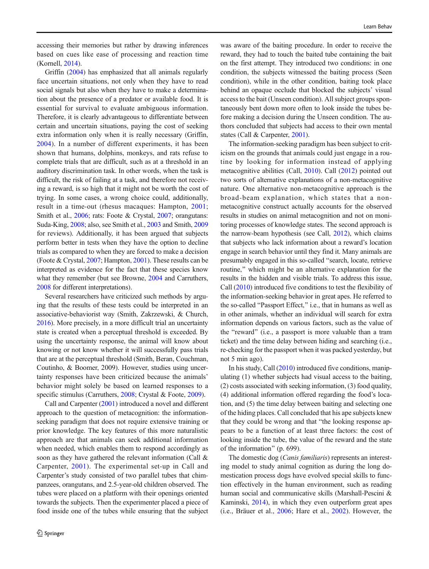accessing their memories but rather by drawing inferences based on cues like ease of processing and reaction time (Kornell, [2014](#page-15-0)).

Griffin ([2004\)](#page-15-0) has emphasized that all animals regularly face uncertain situations, not only when they have to read social signals but also when they have to make a determination about the presence of a predator or available food. It is essential for survival to evaluate ambiguous information. Therefore, it is clearly advantageous to differentiate between certain and uncertain situations, paying the cost of seeking extra information only when it is really necessary (Griffin, [2004](#page-15-0)). In a number of different experiments, it has been shown that humans, dolphins, monkeys, and rats refuse to complete trials that are difficult, such as at a threshold in an auditory discrimination task. In other words, when the task is difficult, the risk of failing at a task, and therefore not receiving a reward, is so high that it might not be worth the cost of trying. In some cases, a wrong choice could, additionally, result in a time-out (rhesus macaques: Hampton, [2001](#page-15-0); Smith et al., [2006](#page-15-0); rats: Foote & Crystal, [2007;](#page-15-0) orangutans: Suda-King, [2008](#page-15-0); also, see Smith et al., [2003](#page-15-0) and Smith, [2009](#page-15-0) for reviews). Additionally, it has been argued that subjects perform better in tests when they have the option to decline trials as compared to when they are forced to make a decision (Foote & Crystal, [2007;](#page-15-0) Hampton, [2001\)](#page-15-0). These results can be interpreted as evidence for the fact that these species know what they remember (but see Browne, [2004](#page-14-0) and Carruthers, [2008](#page-14-0) for different interpretations).

Several researchers have criticized such methods by arguing that the results of these tests could be interpreted in an associative-behaviorist way (Smith, Zakrzewski, & Church, [2016\)](#page-15-0). More precisely, in a more difficult trial an uncertainty state is created when a perceptual threshold is exceeded. By using the uncertainty response, the animal will know about knowing or not know whether it will successfully pass trials that are at the perceptual threshold (Smith, Beran, Couchman, Coutinho, & Boomer, 2009). However, studies using uncertainty responses have been criticized because the animals' behavior might solely be based on learned responses to a specific stimulus (Carruthers, [2008](#page-14-0); Crystal & Foote, [2009\)](#page-14-0).

Call and Carpenter ([2001](#page-14-0)) introduced a novel and different approach to the question of metacognition: the informationseeking paradigm that does not require extensive training or prior knowledge. The key features of this more naturalistic approach are that animals can seek additional information when needed, which enables them to respond accordingly as soon as they have gathered the relevant information (Call & Carpenter, [2001](#page-14-0)). The experimental set-up in Call and Carpenter's study consisted of two parallel tubes that chimpanzees, orangutans, and 2.5-year-old children observed. The tubes were placed on a platform with their openings oriented towards the subjects. Then the experimenter placed a piece of food inside one of the tubes while ensuring that the subject was aware of the baiting procedure. In order to receive the reward, they had to touch the baited tube containing the bait on the first attempt. They introduced two conditions: in one condition, the subjects witnessed the baiting process (Seen condition), while in the other condition, baiting took place behind an opaque occlude that blocked the subjects' visual access to the bait (Unseen condition). All subject groups spontaneously bent down more often to look inside the tubes before making a decision during the Unseen condition. The authors concluded that subjects had access to their own mental states (Call & Carpenter, [2001\)](#page-14-0).

The information-seeking paradigm has been subject to criticism on the grounds that animals could just engage in a routine by looking for information instead of applying metacognitive abilities (Call, [2010](#page-14-0)). Call [\(2012\)](#page-14-0) pointed out two sorts of alternative explanations of a non-metacognitive nature. One alternative non-metacognitive approach is the broad-beam explanation, which states that a nonmetacognitive construct actually accounts for the observed results in studies on animal metacognition and not on monitoring processes of knowledge states. The second approach is the narrow-beam hypothesis (see Call, [2012\)](#page-14-0), which claims that subjects who lack information about a reward's location engage in search behavior until they find it. Many animals are presumably engaged in this so-called "search, locate, retrieve routine," which might be an alternative explanation for the results in the hidden and visible trials. To address this issue, Call ([2010](#page-14-0)) introduced five conditions to test the flexibility of the information-seeking behavior in great apes. He referred to the so-called "Passport Effect," i.e., that in humans as well as in other animals, whether an individual will search for extra information depends on various factors, such as the value of the "reward" (i.e., a passport is more valuable than a tram ticket) and the time delay between hiding and searching (i.e., re-checking for the passport when it was packed yesterday, but not 5 min ago).

In his study, Call [\(2010\)](#page-14-0) introduced five conditions, manipulating (1) whether subjects had visual access to the baiting, (2) costs associated with seeking information, (3) food quality, (4) additional information offered regarding the food's location, and (5) the time delay between baiting and selecting one of the hiding places. Call concluded that his ape subjects knew that they could be wrong and that "the looking response appears to be a function of at least three factors: the cost of looking inside the tube, the value of the reward and the state of the information^ (p. 699).

The domestic dog (Canis familiaris) represents an interesting model to study animal cognition as during the long domestication process dogs have evolved special skills to function effectively in the human environment, such as reading human social and communicative skills (Marshall-Pescini & Kaminski, [2014](#page-15-0)), in which they even outperform great apes (i.e., Bräuer et al., [2006;](#page-14-0) Hare et al., [2002\)](#page-15-0). However, the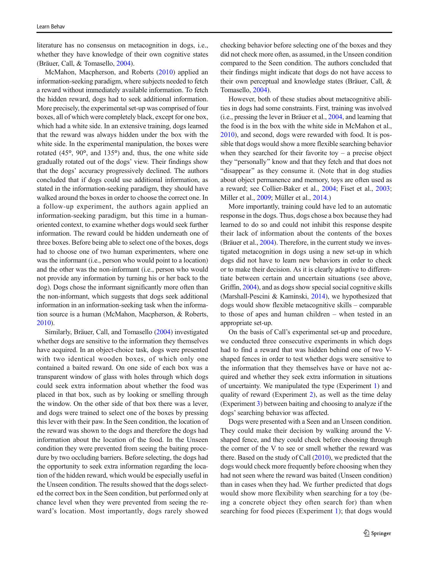literature has no consensus on metacognition in dogs, *i.e.*, whether they have knowledge of their own cognitive states (Bräuer, Call, & Tomasello, [2004](#page-14-0)).

McMahon, Macpherson, and Roberts [\(2010](#page-15-0)) applied an information-seeking paradigm, where subjects needed to fetch a reward without immediately available information. To fetch the hidden reward, dogs had to seek additional information. More precisely, the experimental set-up was comprised of four boxes, all of which were completely black, except for one box, which had a white side. In an extensive training, dogs learned that the reward was always hidden under the box with the white side. In the experimental manipulation, the boxes were rotated (45°, 90°, and 135°) and, thus, the one white side gradually rotated out of the dogs' view. Their findings show that the dogs' accuracy progressively declined. The authors concluded that if dogs could use additional information, as stated in the information-seeking paradigm, they should have walked around the boxes in order to choose the correct one. In a follow-up experiment, the authors again applied an information-seeking paradigm, but this time in a humanoriented context, to examine whether dogs would seek further information. The reward could be hidden underneath one of three boxes. Before being able to select one of the boxes, dogs had to choose one of two human experimenters, where one was the informant (i.e., person who would point to a location) and the other was the non-informant (i.e., person who would not provide any information by turning his or her back to the dog). Dogs chose the informant significantly more often than the non-informant, which suggests that dogs seek additional information in an information-seeking task when the information source is a human (McMahon, Macpherson, & Roberts, [2010\)](#page-15-0).

Similarly, Bräuer, Call, and Tomasello [\(2004\)](#page-14-0) investigated whether dogs are sensitive to the information they themselves have acquired. In an object-choice task, dogs were presented with two identical wooden boxes, of which only one contained a baited reward. On one side of each box was a transparent window of glass with holes through which dogs could seek extra information about whether the food was placed in that box, such as by looking or smelling through the window. On the other side of that box there was a lever, and dogs were trained to select one of the boxes by pressing this lever with their paw. In the Seen condition, the location of the reward was shown to the dogs and therefore the dogs had information about the location of the food. In the Unseen condition they were prevented from seeing the baiting procedure by two occluding barriers. Before selecting, the dogs had the opportunity to seek extra information regarding the location of the hidden reward, which would be especially useful in the Unseen condition. The results showed that the dogs selected the correct box in the Seen condition, but performed only at chance level when they were prevented from seeing the reward's location. Most importantly, dogs rarely showed

checking behavior before selecting one of the boxes and they did not check more often, as assumed, in the Unseen condition compared to the Seen condition. The authors concluded that their findings might indicate that dogs do not have access to their own perceptual and knowledge states (Bräuer, Call, & Tomasello, [2004\)](#page-14-0).

However, both of these studies about metacognitive abilities in dogs had some constraints. First, training was involved (i.e., pressing the lever in Bräuer et al., [2004](#page-14-0), and learning that the food is in the box with the white side in McMahon et al., [2010\)](#page-15-0), and second, dogs were rewarded with food. It is possible that dogs would show a more flexible searching behavior when they searched for their favorite toy – a precise object they "personally" know and that they fetch and that does not "disappear" as they consume it. (Note that in dog studies about object permanence and memory, toys are often used as a reward; see Collier-Baker et al., [2004;](#page-14-0) Fiset et al., [2003;](#page-14-0) Miller et al., [2009](#page-15-0); Müller et al., [2014.](#page-15-0))

More importantly, training could have led to an automatic response in the dogs. Thus, dogs chose a box because they had learned to do so and could not inhibit this response despite their lack of information about the contents of the boxes (Bräuer et al., [2004](#page-14-0)). Therefore, in the current study we investigated metacognition in dogs using a new set-up in which dogs did not have to learn new behaviors in order to check or to make their decision. As it is clearly adaptive to differentiate between certain and uncertain situations (see above, Griffin, [2004\)](#page-15-0), and as dogs show special social cognitive skills (Marshall-Pescini & Kaminski, [2014\)](#page-15-0), we hypothesized that dogs would show flexible metacognitive skills – comparable to those of apes and human children – when tested in an appropriate set-up.

On the basis of Call's experimental set-up and procedure, we conducted three consecutive experiments in which dogs had to find a reward that was hidden behind one of two Vshaped fences in order to test whether dogs were sensitive to the information that they themselves have or have not acquired and whether they seek extra information in situations of uncertainty. We manipulated the type (Experiment [1\)](#page-3-0) and quality of reward (Experiment [2\)](#page-8-0), as well as the time delay (Experiment [3](#page-10-0)) between baiting and choosing to analyze if the dogs' searching behavior was affected.

Dogs were presented with a Seen and an Unseen condition. They could make their decision by walking around the Vshaped fence, and they could check before choosing through the corner of the V to see or smell whether the reward was there. Based on the study of Call ([2010](#page-14-0)), we predicted that the dogs would check more frequently before choosing when they had not seen where the reward was baited (Unseen condition) than in cases when they had. We further predicted that dogs would show more flexibility when searching for a toy (being a concrete object they often search for) than when searching for food pieces (Experiment [1](#page-3-0)); that dogs would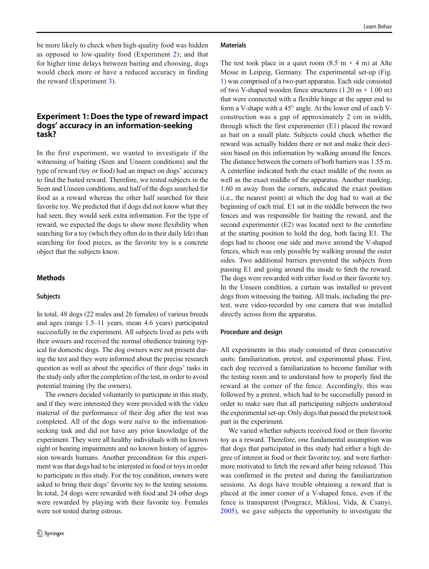<span id="page-3-0"></span>be more likely to check when high-quality food was hidden as opposed to low-quality food (Experiment [2](#page-8-0)); and that for higher time delays between baiting and choosing, dogs would check more or have a reduced accuracy in finding the reward (Experiment [3\)](#page-10-0).

# Experiment 1: Does the type of reward impact dogs' accuracy in an information-seeking task?

In the first experiment, we wanted to investigate if the witnessing of baiting (Seen and Unseen conditions) and the type of reward (toy or food) had an impact on dogs' accuracy to find the baited reward. Therefore, we tested subjects in the Seen and Unseen conditions, and half of the dogs searched for food as a reward whereas the other half searched for their favorite toy. We predicted that if dogs did not know what they had seen, they would seek extra information. For the type of reward, we expected the dogs to show more flexibility when searching for a toy (which they often do in their daily life) than searching for food pieces, as the favorite toy is a concrete object that the subjects know.

# **Methods**

### Subjects

In total, 48 dogs (22 males and 26 females) of various breeds and ages (range 1.5–11 years, mean 4.6 years) participated successfully in the experiment. All subjects lived as pets with their owners and received the normal obedience training typical for domestic dogs. The dog owners were not present during the test and they were informed about the precise research question as well as about the specifics of their dogs' tasks in the study only after the completion of the test, in order to avoid potential training (by the owners).

The owners decided voluntarily to participate in this study, and if they were interested they were provided with the video material of the performance of their dog after the test was completed. All of the dogs were naïve to the informationseeking task and did not have any prior knowledge of the experiment. They were all healthy individuals with no known sight or hearing impairments and no known history of aggression towards humans. Another precondition for this experiment was that dogs had to be interested in food or toys in order to participate in this study. For the toy condition, owners were asked to bring their dogs' favorite toy to the testing sessions. In total, 24 dogs were rewarded with food and 24 other dogs were rewarded by playing with their favorite toy. Females were not tested during estrous.

#### **Materials**

The test took place in a quiet room  $(8.5 \text{ m} \times 4 \text{ m})$  at Alte Messe in Leipzig, Germany. The experimental set-up (Fig. [1](#page-4-0)) was comprised of a two-part apparatus. Each side consisted of two V-shaped wooden fence structures  $(1.20 \text{ m} \times 1.00 \text{ m})$ that were connected with a flexible hinge at the upper end to form a V-shape with a 45° angle. At the lower end of each Vconstruction was a gap of approximately 2 cm in width, through which the first experimenter (E1) placed the reward as bait on a small plate. Subjects could check whether the reward was actually hidden there or not and make their decision based on this information by walking around the fences. The distance between the corners of both barriers was 1.55 m. A centerline indicated both the exact middle of the room as well as the exact middle of the apparatus. Another marking, 1.60 m away from the corners, indicated the exact position (i.e., the nearest point) at which the dog had to wait at the beginning of each trial. E1 sat in the middle between the two fences and was responsible for baiting the reward, and the second experimenter (E2) was located next to the centerline at the starting position to hold the dog, both facing E1. The dogs had to choose one side and move around the V-shaped fences, which was only possible by walking around the outer sides. Two additional barriers prevented the subjects from passing E1 and going around the inside to fetch the reward. The dogs were rewarded with either food or their favorite toy. In the Unseen condition, a curtain was installed to prevent dogs from witnessing the baiting. All trials, including the pretest, were video-recorded by one camera that was installed directly across from the apparatus.

#### Procedure and design

All experiments in this study consisted of three consecutive units: familiarization, pretest, and experimental phase. First, each dog received a familiarization to become familiar with the testing room and to understand how to properly find the reward at the corner of the fence. Accordingly, this was followed by a pretest, which had to be successfully passed in order to make sure that all participating subjects understood the experimental set-up. Only dogs that passed the pretest took part in the experiment.

We varied whether subjects received food or their favorite toy as a reward. Therefore, one fundamental assumption was that dogs that participated in this study had either a high degree of interest in food or their favorite toy, and were furthermore motivated to fetch the reward after being released. This was confirmed in the pretest and during the familiarization sessions. As dogs have trouble obtaining a reward that is placed at the inner corner of a V-shaped fence, even if the fence is transparent (Pongracz, Miklosi, Vida, & Csanyi, [2005](#page-15-0)), we gave subjects the opportunity to investigate the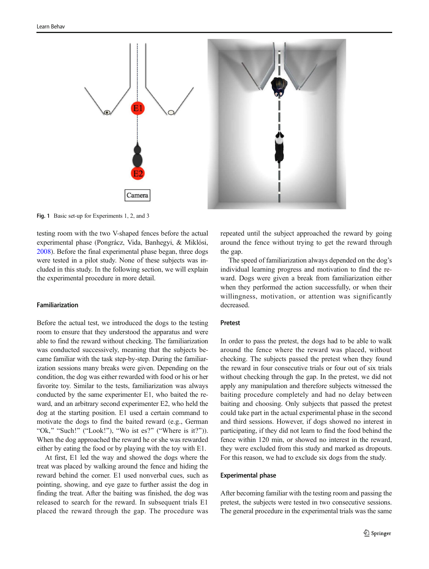<span id="page-4-0"></span>

Fig. 1 Basic set-up for Experiments 1, 2, and 3

testing room with the two V-shaped fences before the actual experimental phase (Pongrácz, Vida, Banhegyi, & Miklósi, [2008\)](#page-15-0). Before the final experimental phase began, three dogs were tested in a pilot study. None of these subjects was included in this study. In the following section, we will explain the experimental procedure in more detail.

### Familiarization

Before the actual test, we introduced the dogs to the testing room to ensure that they understood the apparatus and were able to find the reward without checking. The familiarization was conducted successively, meaning that the subjects became familiar with the task step-by-step. During the familiarization sessions many breaks were given. Depending on the condition, the dog was either rewarded with food or his or her favorite toy. Similar to the tests, familiarization was always conducted by the same experimenter E1, who baited the reward, and an arbitrary second experimenter E2, who held the dog at the starting position. E1 used a certain command to motivate the dogs to find the baited reward (e.g., German "Ok," "Such!" ("Look!"), "Wo ist es?" ("Where is it?")). When the dog approached the reward he or she was rewarded either by eating the food or by playing with the toy with E1.

At first, E1 led the way and showed the dogs where the treat was placed by walking around the fence and hiding the reward behind the corner. E1 used nonverbal cues, such as pointing, showing, and eye gaze to further assist the dog in finding the treat. After the baiting was finished, the dog was released to search for the reward. In subsequent trials E1 placed the reward through the gap. The procedure was repeated until the subject approached the reward by going around the fence without trying to get the reward through the gap.

The speed of familiarization always depended on the dog's individual learning progress and motivation to find the reward. Dogs were given a break from familiarization either when they performed the action successfully, or when their willingness, motivation, or attention was significantly decreased.

### Pretest

In order to pass the pretest, the dogs had to be able to walk around the fence where the reward was placed, without checking. The subjects passed the pretest when they found the reward in four consecutive trials or four out of six trials without checking through the gap. In the pretest, we did not apply any manipulation and therefore subjects witnessed the baiting procedure completely and had no delay between baiting and choosing. Only subjects that passed the pretest could take part in the actual experimental phase in the second and third sessions. However, if dogs showed no interest in participating, if they did not learn to find the food behind the fence within 120 min, or showed no interest in the reward, they were excluded from this study and marked as dropouts. For this reason, we had to exclude six dogs from the study.

#### Experimental phase

After becoming familiar with the testing room and passing the pretest, the subjects were tested in two consecutive sessions. The general procedure in the experimental trials was the same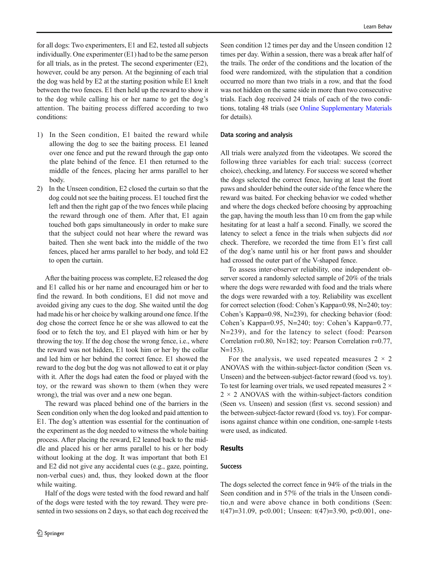for all dogs: Two experimenters, E1 and E2, tested all subjects individually. One experimenter (E1) had to be the same person for all trials, as in the pretest. The second experimenter (E2), however, could be any person. At the beginning of each trial the dog was held by E2 at the starting position while E1 knelt between the two fences. E1 then held up the reward to show it to the dog while calling his or her name to get the dog's attention. The baiting process differed according to two conditions:

- 1) In the Seen condition, E1 baited the reward while allowing the dog to see the baiting process. E1 leaned over one fence and put the reward through the gap onto the plate behind of the fence. E1 then returned to the middle of the fences, placing her arms parallel to her body.
- 2) In the Unseen condition, E2 closed the curtain so that the dog could not see the baiting process. E1 touched first the left and then the right gap of the two fences while placing the reward through one of them. After that, E1 again touched both gaps simultaneously in order to make sure that the subject could not hear where the reward was baited. Then she went back into the middle of the two fences, placed her arms parallel to her body, and told E2 to open the curtain.

After the baiting process was complete, E2 released the dog and E1 called his or her name and encouraged him or her to find the reward. In both conditions, E1 did not move and avoided giving any cues to the dog. She waited until the dog had made his or her choice by walking around one fence. If the dog chose the correct fence he or she was allowed to eat the food or to fetch the toy, and E1 played with him or her by throwing the toy. If the dog chose the wrong fence, i.e., where the reward was not hidden, E1 took him or her by the collar and led him or her behind the correct fence. E1 showed the reward to the dog but the dog was not allowed to eat it or play with it. After the dogs had eaten the food or played with the toy, or the reward was shown to them (when they were wrong), the trial was over and a new one began.

The reward was placed behind one of the barriers in the Seen condition only when the dog looked and paid attention to E1. The dog's attention was essential for the continuation of the experiment as the dog needed to witness the whole baiting process. After placing the reward, E2 leaned back to the middle and placed his or her arms parallel to his or her body without looking at the dog. It was important that both E1 and E2 did not give any accidental cues (e.g., gaze, pointing, non-verbal cues) and, thus, they looked down at the floor while waiting.

Half of the dogs were tested with the food reward and half of the dogs were tested with the toy reward. They were presented in two sessions on 2 days, so that each dog received the

Seen condition 12 times per day and the Unseen condition 12 times per day. Within a session, there was a break after half of the trails. The order of the conditions and the location of the food were randomized, with the stipulation that a condition occurred no more than two trials in a row, and that the food was not hidden on the same side in more than two consecutive trials. Each dog received 24 trials of each of the two conditions, totaling 48 trials (see Online Supplementary Materials for details).

### Data scoring and analysis

All trials were analyzed from the videotapes. We scored the following three variables for each trial: success (correct choice), checking, and latency. For success we scored whether the dogs selected the correct fence, having at least the front paws and shoulder behind the outer side of the fence where the reward was baited. For checking behavior we coded whether and where the dogs checked before choosing by approaching the gap, having the mouth less than 10 cm from the gap while hesitating for at least a half a second. Finally, we scored the latency to select a fence in the trials when subjects did not check. Therefore, we recorded the time from E1's first call of the dog's name until his or her front paws and shoulder had crossed the outer part of the V-shaped fence.

To assess inter-observer reliability, one independent observer scored a randomly selected sample of 20% of the trials where the dogs were rewarded with food and the trials where the dogs were rewarded with a toy. Reliability was excellent for correct selection (food: Cohen's Kappa=0.98, N=240; toy: Cohen's Kappa=0.98, N=239), for checking behavior (food: Cohen's Kappa=0.95, N=240; toy: Cohen's Kappa=0.77, N=239), and for the latency to select (food: Pearson Correlation r=0.80, N=182; toy: Pearson Correlation r=0.77, N=153).

For the analysis, we used repeated measures  $2 \times 2$ ANOVAS with the within-subject-factor condition (Seen vs. Unseen) and the between-subject-factor reward (food vs. toy). To test for learning over trials, we used repeated measures  $2 \times$  $2 \times 2$  ANOVAS with the within-subject-factors condition (Seen vs. Unseen) and session (first vs. second session) and the between-subject-factor reward (food vs. toy). For comparisons against chance within one condition, one-sample t-tests were used, as indicated.

# Results

## Success

The dogs selected the correct fence in 94% of the trials in the Seen condition and in 57% of the trials in the Unseen conditio,n and were above chance in both conditions (Seen: t(47)=31.09, p<0.001; Unseen: t(47)=3.90, p<0.001, one-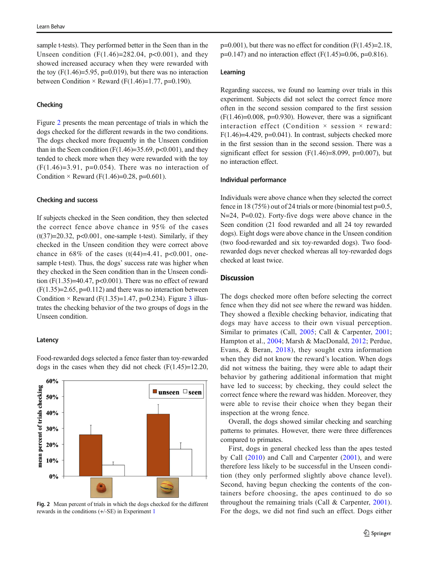sample t-tests). They performed better in the Seen than in the Unseen condition  $(F(1.46)=282.04, p<0.001)$ , and they showed increased accuracy when they were rewarded with the toy  $(F(1.46)=5.95, p=0.019)$ , but there was no interaction between Condition  $\times$  Reward (F(1.46)=1.77, p=0.190).

### **Checking**

Figure 2 presents the mean percentage of trials in which the dogs checked for the different rewards in the two conditions. The dogs checked more frequently in the Unseen condition than in the Seen condition  $(F(1.46)=35.69, p<0.001)$ , and they tended to check more when they were rewarded with the toy  $(F(1.46)=3.91, p=0.054)$ . There was no interaction of Condition  $\times$  Reward (F(1.46)=0.28, p=0.601).

### Checking and success

If subjects checked in the Seen condition, they then selected the correct fence above chance in 95% of the cases  $(t(37)=20.32, p<0.001,$  one-sample t-test). Similarly, if they checked in the Unseen condition they were correct above chance in  $68\%$  of the cases (t(44)=4.41, p<0.001, onesample t-test). Thus, the dogs' success rate was higher when they checked in the Seen condition than in the Unseen condition  $(F(1.35)=40.47, p<0.001)$ . There was no effect of reward  $(F(1.35)=2.65, p=0.112)$  and there was no interaction between Condition  $\times$  Reward (F(1.[3](#page-7-0)5)=1.47, p=0.234). Figure 3 illustrates the checking behavior of the two groups of dogs in the Unseen condition.

#### Latency



Food-rewarded dogs selected a fence faster than toy-rewarded dogs in the cases when they did not check  $(F(1.45)=12.20,$ 

Fig. 2 Mean percent of trials in which the dogs checked for the different rewards in the conditions (+/-SE) in Experiment [1](#page-3-0)

#### Learning

Regarding success, we found no learning over trials in this experiment. Subjects did not select the correct fence more often in the second session compared to the first session  $(F(1.46)=0.008, p=0.930)$ . However, there was a significant interaction effect (Condition  $\times$  session  $\times$  reward:  $F(1.46)=4.429$ ,  $p=0.041$ ). In contrast, subjects checked more in the first session than in the second session. There was a significant effect for session  $(F(1.46)=8.099, p=0.007)$ , but no interaction effect.

#### Individual performance

Individuals were above chance when they selected the correct fence in 18 (75%) out of 24 trials or more (binomial test  $p=0.5$ , N=24, P=0.02). Forty-five dogs were above chance in the Seen condition (21 food rewarded and all 24 toy rewarded dogs). Eight dogs were above chance in the Unseen condition (two food-rewarded and six toy-rewarded dogs). Two foodrewarded dogs never checked whereas all toy-rewarded dogs checked at least twice.

# **Discussion**

The dogs checked more often before selecting the correct fence when they did not see where the reward was hidden. They showed a flexible checking behavior, indicating that dogs may have access to their own visual perception. Similar to primates (Call, [2005;](#page-14-0) Call & Carpenter, [2001;](#page-14-0) Hampton et al., [2004](#page-15-0); Marsh & MacDonald, [2012](#page-15-0); Perdue, Evans, & Beran, [2018](#page-15-0)), they sought extra information when they did not know the reward's location. When dogs did not witness the baiting, they were able to adapt their behavior by gathering additional information that might have led to success; by checking, they could select the correct fence where the reward was hidden. Moreover, they were able to revise their choice when they began their inspection at the wrong fence.

Overall, the dogs showed similar checking and searching patterns to primates. However, there were three differences compared to primates.

First, dogs in general checked less than the apes tested by Call [\(2010](#page-14-0)) and Call and Carpenter [\(2001\)](#page-14-0), and were therefore less likely to be successful in the Unseen condition (they only performed slightly above chance level). Second, having begun checking the contents of the containers before choosing, the apes continued to do so throughout the remaining trials (Call & Carpenter, [2001](#page-14-0)). For the dogs, we did not find such an effect. Dogs either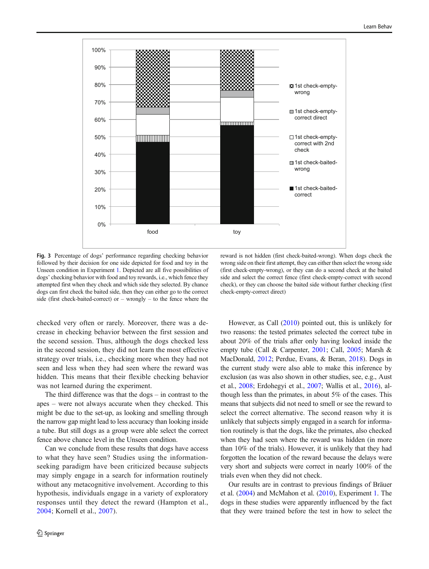<span id="page-7-0"></span>

Fig. 3 Percentage of dogs' performance regarding checking behavior followed by their decision for one side depicted for food and toy in the Unseen condition in Experiment [1.](#page-3-0) Depicted are all five possibilities of dogs' checking behavior with food and toy rewards, i.e., which fence they attempted first when they check and which side they selected. By chance dogs can first check the baited side, then they can either go to the correct side (first check-baited-correct) or – wrongly – to the fence where the

reward is not hidden (first check-baited-wrong). When dogs check the wrong side on their first attempt, they can either then select the wrong side (first check-empty-wrong), or they can do a second check at the baited side and select the correct fence (first check-empty-correct with second check), or they can choose the baited side without further checking (first check-empty-correct direct)

checked very often or rarely. Moreover, there was a decrease in checking behavior between the first session and the second session. Thus, although the dogs checked less in the second session, they did not learn the most effective strategy over trials, i.e., checking more when they had not seen and less when they had seen where the reward was hidden. This means that their flexible checking behavior was not learned during the experiment.

The third difference was that the  $\log s - in$  contrast to the apes – were not always accurate when they checked. This might be due to the set-up, as looking and smelling through the narrow gap might lead to less accuracy than looking inside a tube. But still dogs as a group were able select the correct fence above chance level in the Unseen condition.

Can we conclude from these results that dogs have access to what they have seen? Studies using the informationseeking paradigm have been criticized because subjects may simply engage in a search for information routinely without any metacognitive involvement. According to this hypothesis, individuals engage in a variety of exploratory responses until they detect the reward (Hampton et al., [2004](#page-15-0); Kornell et al., [2007](#page-15-0)).

However, as Call [\(2010\)](#page-14-0) pointed out, this is unlikely for two reasons: the tested primates selected the correct tube in about 20% of the trials after only having looked inside the empty tube (Call & Carpenter, [2001](#page-14-0); Call, [2005;](#page-14-0) Marsh & MacDonald, [2012](#page-15-0); Perdue, Evans, & Beran, [2018](#page-15-0)). Dogs in the current study were also able to make this inference by exclusion (as was also shown in other studies, see, e.g., Aust et al., [2008](#page-14-0); Erdohegyi et al., [2007](#page-14-0); Wallis et al., [2016](#page-15-0)), although less than the primates, in about 5% of the cases. This means that subjects did not need to smell or see the reward to select the correct alternative. The second reason why it is unlikely that subjects simply engaged in a search for information routinely is that the dogs, like the primates, also checked when they had seen where the reward was hidden (in more than 10% of the trials). However, it is unlikely that they had forgotten the location of the reward because the delays were very short and subjects were correct in nearly 100% of the trials even when they did not check.

Our results are in contrast to previous findings of Bräuer et al. [\(2004\)](#page-14-0) and McMahon et al. ([2010](#page-15-0)), Experiment [1.](#page-3-0) The dogs in these studies were apparently influenced by the fact that they were trained before the test in how to select the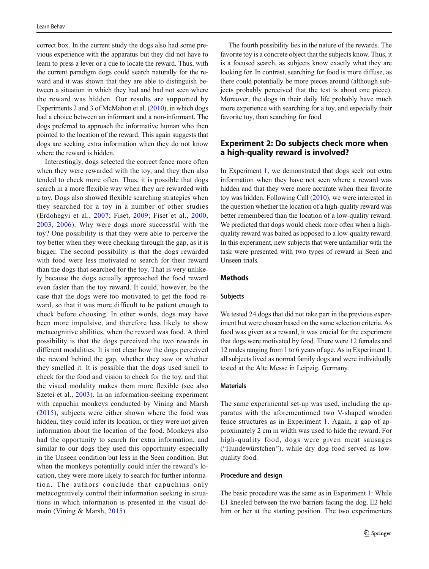<span id="page-8-0"></span>correct box. In the current study the dogs also had some previous experience with the apparatus but they did not have to learn to press a lever or a cue to locate the reward. Thus, with the current paradigm dogs could search naturally for the reward and it was shown that they are able to distinguish between a situation in which they had and had not seen where the reward was hidden. Our results are supported by Experiments 2 and 3 of McMahon et al. [\(2010\)](#page-15-0), in which dogs had a choice between an informant and a non-informant. The dogs preferred to approach the informative human who then pointed to the location of the reward. This again suggests that dogs are seeking extra information when they do not know where the reward is hidden.

Interestingly, dogs selected the correct fence more often when they were rewarded with the toy, and they then also tended to check more often. Thus, it is possible that dogs search in a more flexible way when they are rewarded with a toy. Dogs also showed flexible searching strategies when they searched for a toy in a number of other studies (Erdohegyi et al., [2007](#page-14-0); Fiset, [2009;](#page-14-0) Fiset et al., [2000,](#page-15-0) [2003,](#page-14-0) [2006\)](#page-15-0). Why were dogs more successful with the toy? One possibility is that they were able to perceive the toy better when they were checking through the gap, as it is bigger. The second possibility is that the dogs rewarded with food were less motivated to search for their reward than the dogs that searched for the toy. That is very unlikely because the dogs actually approached the food reward even faster than the toy reward. It could, however, be the case that the dogs were too motivated to get the food reward, so that it was more difficult to be patient enough to check before choosing. In other words, dogs may have been more impulsive, and therefore less likely to show metacognitive abilities, when the reward was food. A third possibility is that the dogs perceived the two rewards in different modalities. It is not clear how the dogs perceived the reward behind the gap, whether they saw or whether they smelled it. It is possible that the dogs used smell to check for the food and vision to check for the toy, and that the visual modality makes them more flexible (see also Szetei et al., [2003](#page-15-0)). In an information-seeking experiment with capuchin monkeys conducted by Vining and Marsh [\(2015](#page-15-0)), subjects were either shown where the food was hidden, they could infer its location, or they were not given information about the location of the food. Monkeys also had the opportunity to search for extra information, and similar to our dogs they used this opportunity especially in the Unseen condition but less in the Seen condition. But when the monkeys potentially could infer the reward's location, they were more likely to search for further information. The authors conclude that capuchins only metacognitively control their information seeking in situations in which information is presented in the visual domain (Vining & Marsh, [2015\)](#page-15-0).

The fourth possibility lies in the nature of the rewards. The favorite toy is a concrete object that the subjects know. Thus, it is a focused search, as subjects know exactly what they are looking for. In contrast, searching for food is more diffuse, as there could potentially be more pieces around (although subjects probably perceived that the test is about one piece). Moreover, the dogs in their daily life probably have much more experience with searching for a toy, and especially their favorite toy, than searching for food.

# Experiment 2: Do subjects check more when a high-quality reward is involved?

In Experiment [1](#page-3-0), we demonstrated that dogs seek out extra information when they have not seen where a reward was hidden and that they were more accurate when their favorite toy was hidden. Following Call [\(2010\)](#page-14-0), we were interested in the question whether the location of a high-quality reward was better remembered than the location of a low-quality reward. We predicted that dogs would check more often when a highquality reward was baited as opposed to a low-quality reward. In this experiment, new subjects that were unfamiliar with the task were presented with two types of reward in Seen and Unseen trials.

# Methods

### Subjects

We tested 24 dogs that did not take part in the previous experiment but were chosen based on the same selection criteria. As food was given as a reward, it was crucial for the experiment that dogs were motivated by food. There were 12 females and 12 males ranging from 1 to 6 years of age. As in Experiment [1,](#page-3-0) all subjects lived as normal family dogs and were individually tested at the Alte Messe in Leipzig, Germany.

### **Materials**

The same experimental set-up was used, including the apparatus with the aforementioned two V-shaped wooden fence structures as in Experiment [1.](#page-3-0) Again, a gap of approximately 2 cm in width was used to hide the reward. For high-quality food, dogs were given meat sausages ("Hundewürstchen"), while dry dog food served as lowquality food.

#### Procedure and design

The basic procedure was the same as in Experiment [1](#page-3-0): While E1 kneeled between the two barriers facing the dog, E2 held him or her at the starting position. The two experimenters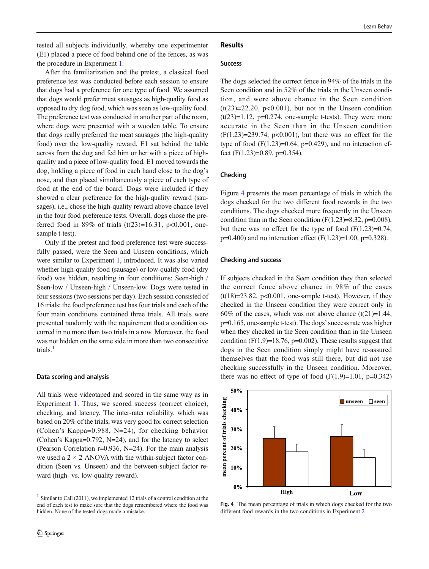tested all subjects individually, whereby one experimenter (E1) placed a piece of food behind one of the fences, as was the procedure in Experiment [1.](#page-3-0)

After the familiarization and the pretest, a classical food preference test was conducted before each session to ensure that dogs had a preference for one type of food. We assumed that dogs would prefer meat sausages as high-quality food as opposed to dry dog food, which was seen as low-quality food. The preference test was conducted in another part of the room, where dogs were presented with a wooden table. To ensure that dogs really preferred the meat sausages (the high-quality food) over the low-quality reward, E1 sat behind the table across from the dog and fed him or her with a piece of highquality and a piece of low-quality food. E1 moved towards the dog, holding a piece of food in each hand close to the dog's nose, and then placed simultaneously a piece of each type of food at the end of the board. Dogs were included if they showed a clear preference for the high-quality reward (sausages), i.e., chose the high-quality reward above chance level in the four food preference tests. Overall, dogs chose the preferred food in 89% of trials  $(t(23)=16.31, p<0.001,$  onesample t-test).

Only if the pretest and food preference test were successfully passed, were the Seen and Unseen conditions, which were similar to Experiment [1,](#page-3-0) introduced. It was also varied whether high-quality food (sausage) or low-qualify food (dry food) was hidden, resulting in four conditions: Seen-high / Seen-low / Unseen-high / Unseen-low. Dogs were tested in four sessions (two sessions per day). Each session consisted of 16 trials: the food preference test has four trials and each of the four main conditions contained three trials. All trials were presented randomly with the requirement that a condition occurred in no more than two trials in a row. Moreover, the food was not hidden on the same side in more than two consecutive trials. $<sup>1</sup>$ </sup>

#### Data scoring and analysis

All trials were videotaped and scored in the same way as in Experiment [1](#page-3-0). Thus, we scored success (correct choice), checking, and latency. The inter-rater reliability, which was based on 20% of the trials, was very good for correct selection (Cohen's Kappa=0.988, N=24), for checking behavior (Cohen's Kappa=0.792, N=24), and for the latency to select (Pearson Correlation  $r=0.936$ , N=24). For the main analysis we used a  $2 \times 2$  ANOVA with the within-subject factor condition (Seen vs. Unseen) and the between-subject factor reward (high- vs. low-quality reward).

#### **Results**

#### **Success**

The dogs selected the correct fence in 94% of the trials in the Seen condition and in 52% of the trials in the Unseen condition, and were above chance in the Seen condition  $(t(23)=22.20, p<0.001)$ , but not in the Unseen condition  $(t(23)=1.12, p=0.274,$  one-sample t-tests). They were more accurate in the Seen than in the Unseen condition  $(F(1.23)=239.74, p<0.001)$ , but there was no effect for the type of food  $(F(1.23)=0.64, p=0.429)$ , and no interaction effect (F(1.23)=0.89, p=0.354).

## Checking

Figure 4 presents the mean percentage of trials in which the dogs checked for the two different food rewards in the two conditions. The dogs checked more frequently in the Unseen condition than in the Seen condition  $(F(1.23)=8.32, p=0.008)$ , but there was no effect for the type of food  $(F(1.23)=0.74,$  $p=0.400$  and no interaction effect (F(1.23)=1.00,  $p=0.328$ ).

#### Checking and success

If subjects checked in the Seen condition they then selected the correct fence above chance in 98% of the cases  $(t(18)=23.82, p<0.001,$  one-sample t-test). However, if they checked in the Unseen condition they were correct only in 60% of the cases, which was not above chance  $(t(21)=1.44)$ , p=0.165, one-sample t-test). The dogs'success rate was higher when they checked in the Seen condition than in the Unseen condition  $(F(1.9)=18.76, p=0.002)$ . These results suggest that dogs in the Seen condition simply might have re-assured themselves that the food was still there, but did not use checking successfully in the Unseen condition. Moreover, there was no effect of type of food  $(F(1.9)=1.01, p=0.342)$ 



different food rewards in the two conditions in Experiment [2](#page-8-0)

 $1$  Similar to Call (2011), we implemented 12 trials of a control condition at the end of each test to make sure that the dogs remembered where the food was hidden. None of the tested dogs made a mistake.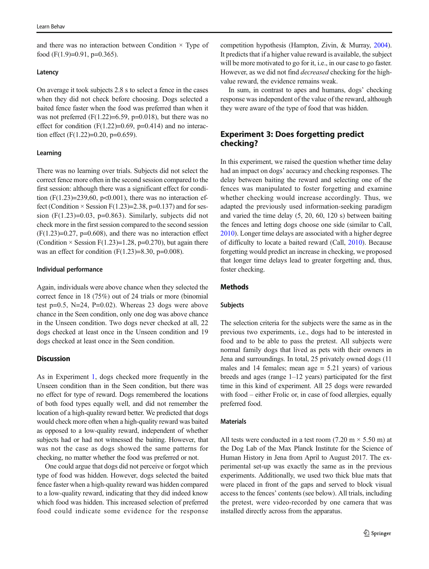<span id="page-10-0"></span>and there was no interaction between Condition  $\times$  Type of food (F(1.9)=0.91, p=0.365).

# Latency

On average it took subjects 2.8 s to select a fence in the cases when they did not check before choosing. Dogs selected a baited fence faster when the food was preferred than when it was not preferred  $(F(1.22)=6.59, p=0.018)$ , but there was no effect for condition  $(F(1.22)=0.69, p=0.414)$  and no interaction effect (F(1.22)=0.20, p=0.659).

# Learning

There was no learning over trials. Subjects did not select the correct fence more often in the second session compared to the first session: although there was a significant effect for condition  $(F(1.23)=239,60, p<0.001)$ , there was no interaction effect (Condition  $\times$  Session F(1.23)=2.38, p=0.137) and for session  $(F(1.23)=0.03, p=0.863)$ . Similarly, subjects did not check more in the first session compared to the second session  $(F(1.23)=0.27, p=0.608)$ , and there was no interaction effect (Condition  $\times$  Session F(1.23)=1.28, p=0.270), but again there was an effect for condition  $(F(1.23)=8.30, p=0.008)$ .

# Individual performance

Again, individuals were above chance when they selected the correct fence in 18 (75%) out of 24 trials or more (binomial test p=0.5, N=24, P=0.02). Whereas 23 dogs were above chance in the Seen condition, only one dog was above chance in the Unseen condition. Two dogs never checked at all, 22 dogs checked at least once in the Unseen condition and 19 dogs checked at least once in the Seen condition.

# **Discussion**

As in Experiment [1](#page-3-0), dogs checked more frequently in the Unseen condition than in the Seen condition, but there was no effect for type of reward. Dogs remembered the locations of both food types equally well, and did not remember the location of a high-quality reward better. We predicted that dogs would check more often when a high-quality reward was baited as opposed to a low-quality reward, independent of whether subjects had or had not witnessed the baiting. However, that was not the case as dogs showed the same patterns for checking, no matter whether the food was preferred or not.

One could argue that dogs did not perceive or forgot which type of food was hidden. However, dogs selected the baited fence faster when a high-quality reward was hidden compared to a low-quality reward, indicating that they did indeed know which food was hidden. This increased selection of preferred food could indicate some evidence for the response competition hypothesis (Hampton, Zivin, & Murray, [2004\)](#page-15-0). It predicts that if a higher value reward is available, the subject will be more motivated to go for it, i.e., in our case to go faster. However, as we did not find decreased checking for the highvalue reward, the evidence remains weak.

In sum, in contrast to apes and humans, dogs' checking response was independent of the value of the reward, although they were aware of the type of food that was hidden.

# Experiment 3: Does forgetting predict checking?

In this experiment, we raised the question whether time delay had an impact on dogs' accuracy and checking responses. The delay between baiting the reward and selecting one of the fences was manipulated to foster forgetting and examine whether checking would increase accordingly. Thus, we adapted the previously used information-seeking paradigm and varied the time delay (5, 20, 60, 120 s) between baiting the fences and letting dogs choose one side (similar to Call, [2010\)](#page-14-0). Longer time delays are associated with a higher degree of difficulty to locate a baited reward (Call, [2010\)](#page-14-0). Because forgetting would predict an increase in checking, we proposed that longer time delays lead to greater forgetting and, thus, foster checking.

# **Methods**

# Subjects

The selection criteria for the subjects were the same as in the previous two experiments, i.e., dogs had to be interested in food and to be able to pass the pretest. All subjects were normal family dogs that lived as pets with their owners in Jena and surroundings. In total, 25 privately owned dogs (11 males and 14 females; mean  $age = 5.21$  years) of various breeds and ages (range 1–12 years) participated for the first time in this kind of experiment. All 25 dogs were rewarded with food – either Frolic or, in case of food allergies, equally preferred food.

# **Materials**

All tests were conducted in a test room (7.20 m  $\times$  5.50 m) at the Dog Lab of the Max Planck Institute for the Science of Human History in Jena from April to August 2017. The experimental set-up was exactly the same as in the previous experiments. Additionally, we used two thick blue mats that were placed in front of the gaps and served to block visual access to the fences' contents (see below). All trials, including the pretest, were video-recorded by one camera that was installed directly across from the apparatus.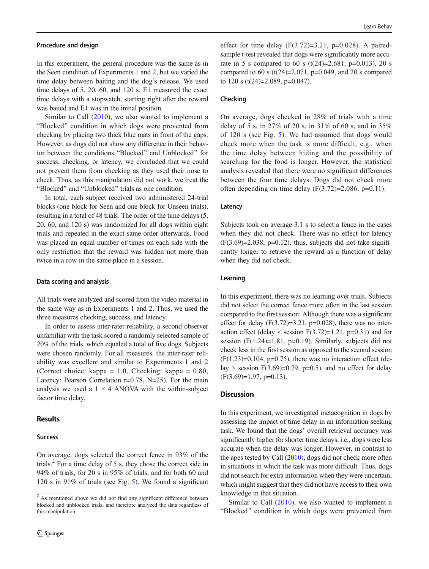#### Procedure and design

In this experiment, the general procedure was the same as in the Seen condition of Experiments 1 and 2, but we varied the time delay between baiting and the dog's release. We used time delays of 5, 20, 60, and 120 s. E1 measured the exact time delays with a stopwatch, starting right after the reward was baited and E1 was in the initial position.

Similar to Call [\(2010](#page-14-0)), we also wanted to implement a "Blocked" condition in which dogs were prevented from checking by placing two thick blue mats in front of the gaps. However, as dogs did not show any difference in their behavior between the conditions "Blocked" and Unblocked" for success, checking, or latency, we concluded that we could not prevent them from checking as they used their nose to check. Thus, as this manipulation did not work, we treat the "Blocked" and "Unblocked" trials as one condition.

In total, each subject received two administered 24-trial blocks (one block for Seen and one block for Unseen trials), resulting in a total of 48 trials. The order of the time delays (5, 20, 60, and 120 s) was randomized for all dogs within eight trials and repeated in the exact same order afterwards. Food was placed an equal number of times on each side with the only restriction that the reward was hidden not more than twice in a row in the same place in a session.

#### Data scoring and analysis

All trials were analyzed and scored from the video material in the same way as in Experiments 1 and 2. Thus, we used the three measures checking, success, and latency.

In order to assess inter-rater reliability, a second observer unfamiliar with the task scored a randomly selected sample of 20% of the trials, which equaled a total of five dogs. Subjects were chosen randomly. For all measures, the inter-rater reliability was excellent and similar to Experiments 1 and 2 (Correct choice: kappa = 1.0, Checking: kappa =  $0.80$ , Latency: Pearson Correlation r=0.78, N=25). For the main analysis we used a  $1 \times 4$  ANOVA with the within-subject factor time delay.

### Results

#### Success

On average, dogs selected the correct fence in 93% of the trials. $<sup>2</sup>$  For a time delay of 5 s, they chose the correct side in</sup> 94% of trials, for 20 s in 95% of trials, and for both 60 and 120 s in 91% of trials (see Fig. [5\)](#page-12-0). We found a significant

effect for time delay  $(F(3.72)=3.21, p=0.028)$ . A pairedsample t-test revealed that dogs were significantly more accurate in 5 s compared to 60 s  $(t(24)=2.681, p=0.013)$ , 20 s compared to 60 s (t(24)=2.071, p=0.049, and 20 s compared to 120 s (t(24)=2.089, p=0.047).

### Checking

On average, dogs checked in 28% of trials with a time delay of 5 s, in 27% of 20 s, in 31% of 60 s, and in 35% of 120 s (see Fig. [5\)](#page-12-0). We had assumed that dogs would check more when the task is more difficult, e.g., when the time delay between hiding and the possibility of searching for the food is longer. However, the statistical analysis revealed that there were no significant differences between the four time delays. Dogs did not check more often depending on time delay  $(F(3.72)=2.086, p=0.11)$ .

### Latency

Subjects took on average 3.1 s to select a fence in the cases when they did not check. There was no effect for latency  $(F(3.69)=2.038, p=0.12)$ , thus, subjects did not take significantly longer to retrieve the reward as a function of delay when they did not check.

#### Learning

In this experiment, there was no learning over trials. Subjects did not select the correct fence more often in the last session compared to the first session: Although there was a significant effect for delay  $(F(3.72)=3.21, p=0.028)$ , there was no interaction effect (delay  $\times$  session F(3.72)=1.21, p=0.31) and for session  $(F(1.24)=1.81, p=0.19)$ . Similarly, subjects did not check less in the first session as opposed to the second session  $(F(1.23)=0.104, p=0.75)$ , there was no interaction effect (delay  $\times$  session F(3.69)=0.79, p=0.5), and no effect for delay  $(F(3.69)=1.97, p=0.13).$ 

#### **Discussion**

In this experiment, we investigated metacognition in dogs by assessing the impact of time delay in an information-seeking task. We found that the dogs' overall retrieval accuracy was significantly higher for shorter time delays, i.e., dogs were less accurate when the delay was longer. However, in contrast to the apes tested by Call ([2010](#page-14-0)), dogs did not check more often in situations in which the task was more difficult. Thus, dogs did not search for extra information when they were uncertain, which might suggest that they did not have access to their own knowledge in that situation.

Similar to Call [\(2010](#page-14-0)), we also wanted to implement a "Blocked" condition in which dogs were prevented from

<sup>&</sup>lt;sup>2</sup> As mentioned above we did not find any significant difference between blocked and unblocked trials, and therefore analyzed the data regardless of this manipulation.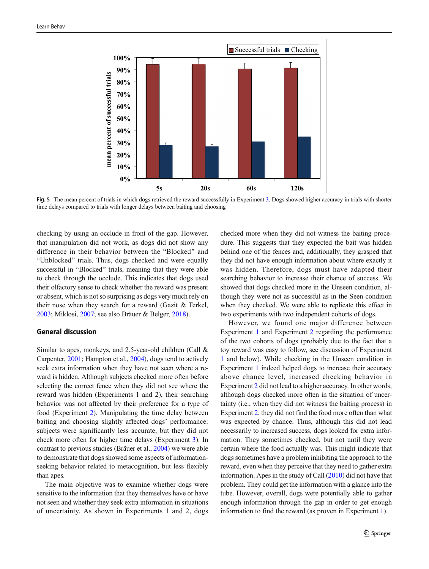<span id="page-12-0"></span>

Fig. 5 The mean percent of trials in which dogs retrieved the reward successfully in Experiment [3](#page-10-0). Dogs showed higher accuracy in trials with shorter time delays compared to trials with longer delays between baiting and choosing

checking by using an occlude in front of the gap. However, that manipulation did not work, as dogs did not show any difference in their behavior between the "Blocked" and "Unblocked" trials. Thus, dogs checked and were equally successful in "Blocked" trials, meaning that they were able to check through the occlude. This indicates that dogs used their olfactory sense to check whether the reward was present or absent, which is not so surprising as dogs very much rely on their nose when they search for a reward (Gazit & Terkel, [2003;](#page-15-0) Miklosi, [2007;](#page-15-0) see also Bräuer & Belger, [2018](#page-14-0)).

### General discussion

Similar to apes, monkeys, and 2.5-year-old children (Call & Carpenter, [2001](#page-14-0); Hampton et al., [2004](#page-15-0)), dogs tend to actively seek extra information when they have not seen where a reward is hidden. Although subjects checked more often before selecting the correct fence when they did not see where the reward was hidden (Experiments 1 and 2), their searching behavior was not affected by their preference for a type of food (Experiment [2\)](#page-8-0). Manipulating the time delay between baiting and choosing slightly affected dogs' performance: subjects were significantly less accurate, but they did not check more often for higher time delays (Experiment [3](#page-10-0)). In contrast to previous studies (Bräuer et al., [2004\)](#page-14-0) we were able to demonstrate that dogs showed some aspects of informationseeking behavior related to metacognition, but less flexibly than apes.

The main objective was to examine whether dogs were sensitive to the information that they themselves have or have not seen and whether they seek extra information in situations of uncertainty. As shown in Experiments 1 and 2, dogs checked more when they did not witness the baiting procedure. This suggests that they expected the bait was hidden behind one of the fences and, additionally, they grasped that they did not have enough information about where exactly it was hidden. Therefore, dogs must have adapted their searching behavior to increase their chance of success. We showed that dogs checked more in the Unseen condition, although they were not as successful as in the Seen condition when they checked. We were able to replicate this effect in two experiments with two independent cohorts of dogs.

However, we found one major difference between Experiment [1](#page-3-0) and Experiment [2](#page-8-0) regarding the performance of the two cohorts of dogs (probably due to the fact that a toy reward was easy to follow, see discussion of Experiment [1](#page-3-0) and below). While checking in the Unseen condition in Experiment [1](#page-3-0) indeed helped dogs to increase their accuracy above chance level, increased checking behavior in Experiment [2](#page-8-0) did not lead to a higher accuracy. In other words, although dogs checked more often in the situation of uncertainty (i.e., when they did not witness the baiting process) in Experiment [2](#page-8-0), they did not find the food more often than what was expected by chance. Thus, although this did not lead necessarily to increased success, dogs looked for extra information. They sometimes checked, but not until they were certain where the food actually was. This might indicate that dogs sometimes have a problem inhibiting the approach to the reward, even when they perceive that they need to gather extra information. Apes in the study of Call ([2010](#page-14-0)) did not have that problem. They could get the information with a glance into the tube. However, overall, dogs were potentially able to gather enough information through the gap in order to get enough information to find the reward (as proven in Experiment [1\)](#page-3-0).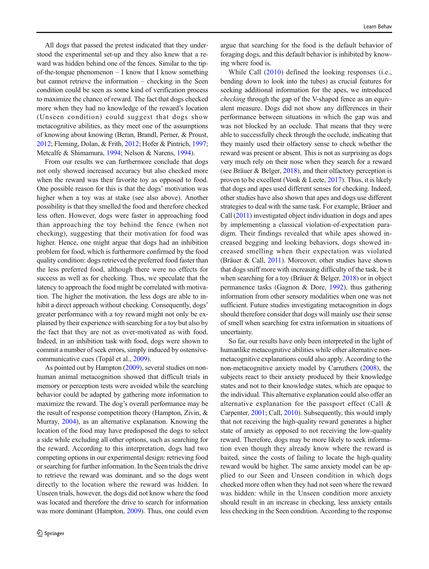All dogs that passed the pretest indicated that they understood the experimental set-up and they also knew that a reward was hidden behind one of the fences. Similar to the tipof-the-tongue phenomenon – I know that I know something but cannot retrieve the information – checking in the Seen condition could be seen as some kind of verification process to maximize the chance of reward. The fact that dogs checked more when they had no knowledge of the reward's location (Unseen condition) could suggest that dogs show metacognitive abilities, as they meet one of the assumptions of knowing about knowing (Beran, Brandl, Perner, & Proust, [2012;](#page-14-0) Fleming, Dolan, & Frith, [2012;](#page-15-0) Hofer & Pintrich, [1997](#page-15-0); Metcalfe & Shimamura, [1994](#page-15-0); Nelson & Narens, [1994](#page-15-0)).

From our results we can furthermore conclude that dogs not only showed increased accuracy but also checked more when the reward was their favorite toy as opposed to food. One possible reason for this is that the dogs' motivation was higher when a toy was at stake (see also above). Another possibility is that they smelled the food and therefore checked less often. However, dogs were faster in approaching food than approaching the toy behind the fence (when not checking), suggesting that their motivation for food was higher. Hence, one might argue that dogs had an inhibition problem for food, which is furthermore confirmed by the food quality condition: dogs retrieved the preferred food faster than the less preferred food, although there were no effects for success as well as for checking. Thus, we speculate that the latency to approach the food might be correlated with motivation. The higher the motivation, the less dogs are able to inhibit a direct approach without checking. Consequently, dogs' greater performance with a toy reward might not only be explained by their experience with searching for a toy but also by the fact that they are not as over-motivated as with food. Indeed, in an inhibition task with food, dogs were shown to commit a number of seek errors, simply induced by ostensivecommunicative cues (Topál et al., [2009](#page-15-0)).

As pointed out by Hampton [\(2009\)](#page-15-0), several studies on nonhuman animal metacognition showed that difficult trials in memory or perception tests were avoided while the searching behavior could be adapted by gathering more information to maximize the reward. The dog's overall performance may be the result of response competition theory (Hampton, Zivin, & Murray, [2004\)](#page-15-0), as an alternative explanation. Knowing the location of the food may have predisposed the dogs to select a side while excluding all other options, such as searching for the reward. According to this interpretation, dogs had two competing options in our experimental design: retrieving food or searching for further information. In the Seen trials the drive to retrieve the reward was dominant, and so the dogs went directly to the location where the reward was hidden. In Unseen trials, however, the dogs did not know where the food was located and therefore the drive to search for information was more dominant (Hampton, [2009\)](#page-15-0). Thus, one could even

argue that searching for the food is the default behavior of foraging dogs, and this default behavior is inhibited by knowing where food is.

While Call ([2010](#page-14-0)) defined the looking responses (i.e., bending down to look into the tubes) as crucial features for seeking additional information for the apes, we introduced checking through the gap of the V-shaped fence as an equivalent measure. Dogs did not show any differences in their performance between situations in which the gap was and was not blocked by an occlude. That means that they were able to successfully check through the occlude, indicating that they mainly used their olfactory sense to check whether the reward was present or absent. This is not as surprising as dogs very much rely on their nose when they search for a reward (see Bräuer & Belger, [2018\)](#page-14-0), and their olfactory perception is proven to be excellent (Vonk & Leete, [2017](#page-15-0)). Thus, it is likely that dogs and apes used different senses for checking. Indeed, other studies have also shown that apes and dogs use different strategies to deal with the same task. For example, Bräuer and Call ([2011\)](#page-14-0) investigated object individuation in dogs and apes by implementing a classical violation-of-expectation paradigm. Their findings revealed that while apes showed increased begging and looking behaviors, dogs showed increased smelling when their expectation was violated (Bräuer & Call, [2011\)](#page-14-0). Moreover, other studies have shown that dogs sniff more with increasing difficulty of the task, be it when searching for a toy (Bräuer & Belger, [2018\)](#page-14-0) or in object permanence tasks (Gagnon & Dore, [1992](#page-15-0)), thus gathering information from other sensory modalities when one was not sufficient. Future studies investigating metacognition in dogs should therefore consider that dogs will mainly use their sense of smell when searching for extra information in situations of uncertainty.

So far, our results have only been interpreted in the light of humanlike metacognitive abilities while other alternative nonmetacognitive explanations could also apply. According to the non-metacognitive anxiety model by Carruthers ([2008](#page-14-0)), the subjects react to their anxiety produced by their knowledge states and not to their knowledge states, which are opaque to the individual. This alternative explanation could also offer an alternative explanation for the passport effect (Call & Carpenter, [2001](#page-14-0); Call, [2010\)](#page-14-0). Subsequently, this would imply that not receiving the high-quality reward generates a higher state of anxiety as opposed to not receiving the low-quality reward. Therefore, dogs may be more likely to seek information even though they already know where the reward is baited, since the costs of failing to locate the high-quality reward would be higher. The same anxiety model can be applied to our Seen and Unseen condition in which dogs checked more often when they had not seen where the reward was hidden: while in the Unseen condition more anxiety should result in an increase in checking, less anxiety entails less checking in the Seen condition. According to the response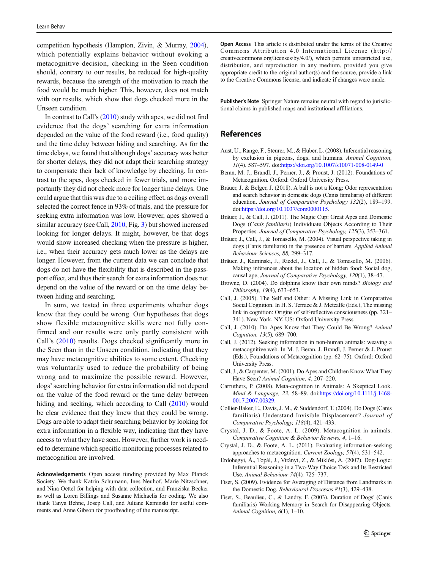<span id="page-14-0"></span>competition hypothesis (Hampton, Zivin, & Murray, [2004\)](#page-15-0), which potentially explains behavior without evoking a metacognitive decision, checking in the Seen condition should, contrary to our results, be reduced for high-quality rewards, because the strength of the motivation to reach the food would be much higher. This, however, does not match with our results, which show that dogs checked more in the Unseen condition.

In contrast to Call's (2010) study with apes, we did not find evidence that the dogs' searching for extra information depended on the value of the food reward (i.e., food quality) and the time delay between hiding and searching. As for the time delays, we found that although dogs' accuracy was better for shorter delays, they did not adapt their searching strategy to compensate their lack of knowledge by checking. In contrast to the apes, dogs checked in fewer trials, and more importantly they did not check more for longer time delays. One could argue that this was due to a ceiling effect, as dogs overall selected the correct fence in 93% of trials, and the pressure for seeking extra information was low. However, apes showed a similar accuracy (see Call, 2010, Fig. [3\)](#page-7-0) but showed increased looking for longer delays. It might, however, be that dogs would show increased checking when the pressure is higher, i.e., when their accuracy gets much lower as the delays are longer. However, from the current data we can conclude that dogs do not have the flexibility that is described in the passport effect, and thus their search for extra information does not depend on the value of the reward or on the time delay between hiding and searching.

In sum, we tested in three experiments whether dogs know that they could be wrong. Our hypotheses that dogs show flexible metacognitive skills were not fully confirmed and our results were only partly consistent with Call's (2010) results. Dogs checked significantly more in the Seen than in the Unseen condition, indicating that they may have metacognitive abilities to some extent. Checking was voluntarily used to reduce the probability of being wrong and to maximize the possible reward. However, dogs'searching behavior for extra information did not depend on the value of the food reward or the time delay between hiding and seeking, which according to Call (2010) would be clear evidence that they knew that they could be wrong. Dogs are able to adapt their searching behavior by looking for extra information in a flexible way, indicating that they have access to what they have seen. However, further work is needed to determine which specific monitoring processes related to metacognition are involved.

Acknowledgements Open access funding provided by Max Planck Society. We thank Katrin Schumann, Ines Neuhof, Marie Nitzschner, and Nina Oettel for helping with data collection, and Franziska Becker as well as Loren Billings and Susanne Michaelis for coding. We also thank Tanya Behne, Josep Call, and Juliane Kaminski for useful comments and Anne Gibson for proofreading of the manuscript.

Open Access This article is distributed under the terms of the Creative Commons Attribution 4.0 International License (http:// creativecommons.org/licenses/by/4.0/), which permits unrestricted use, distribution, and reproduction in any medium, provided you give appropriate credit to the original author(s) and the source, provide a link to the Creative Commons license, and indicate if changes were made.

Publisher's Note Springer Nature remains neutral with regard to jurisdictional claims in published maps and institutional affiliations.

# References

- Aust, U., Range, F., Steurer, M., & Huber, L. (2008). Inferential reasoning by exclusion in pigeons, dogs, and humans. Animal Cognition, 11(4), 587–597. doi[:https://doi.org/10.1007/s10071-008-0149-0](https://doi.org/10.1007/s10071-008-0149-0)
- Beran, M. J., Brandl, J., Perner, J., & Proust, J. (2012). Foundations of Metacognition. Oxford: Oxford University Press.
- Bräuer, J. & Belger, J. (2018). A ball is not a Kong: Odor representation and search behavior in domestic dogs (Canis familiaris) of different education. Journal of Comparative Psychology 132(2), 189–199. doi:[https://doi.org/10.1037/com0000115.](https://doi.org/10.1037/com0000115)
- Bräuer, J., & Call, J. (2011). The Magic Cup: Great Apes and Domestic Dogs (Canis familiaris) Individuate Objects According to Their Properties. Journal of Comparative Psychology, 125(3), 353–361.
- Bräuer, J., Call, J., & Tomasello, M. (2004). Visual perspective taking in dogs (Canis familiaris) in the presence of barriers. Applied Animal Behaviour Sciences, 88, 299–317.
- Bräuer, J., Kaminski, J., Riedel, J., Call, J., & Tomasello, M. (2006). Making inferences about the location of hidden food: Social dog, causal ape, Journal of Comparative Psychology, 120(1), 38–47.
- Browne, D. (2004). Do dolphins know their own minds? Biology and Philosophy, 19(4), 633–653.
- Call, J. (2005). The Self and Other: A Missing Link in Comparative Social Cognition. In H. S. Terrace & J. Metcalfe (Eds.), The missing link in cognition: Origins of self-reflective consciousness (pp. 321– 341). New York, NY, US: Oxford University Press.
- Call, J. (2010). Do Apes Know that They Could Be Wrong? Animal Cognition, 13(5), 689–700.
- Call, J. (2012). Seeking information in non-human animals: weaving a metacognitive web. In M. J. Beran, J. Brandl, J. Perner & J. Proust (Eds.), Foundations of Metacognition (pp. 62–75). Oxford: Oxford University Press.
- Call, J., & Carpenter, M. (2001). Do Apes and Children Know What They Have Seen? Animal Cognition, 4, 207–220.
- Carruthers, P. (2008). Meta-cognition in Animals: A Skeptical Look. Mind & Language, 23, 58–89. doi[:https://doi.org/10.1111/j.1468-](https://doi.org/10.1111/j.1468-0017.2007.00329.) [0017.2007.00329.](https://doi.org/10.1111/j.1468-0017.2007.00329.)
- Collier-Baker, E., Davis, J. M., & Suddendorf, T. (2004). Do Dogs (Canis familiaris) Understand Invisible Displacement? Journal of Comparative Psychology, 118(4), 421–433.
- Crystal, J. D., & Foote, A. L. (2009). Metacognition in animals. Comparative Cognition & Behavior Reviews, 4, 1–16.
- Crystal, J. D., & Foote, A. L. (2011). Evaluating information-seeking approaches to metacognition. Current Zoology, 57(4), 531–542.
- Erdohegyi, Á., Topál, J., Virányi, Z., & Miklósi, Á. (2007). Dog-Logic: Inferential Reasoning in a Two-Way Choice Task and Its Restricted Use. Animal Behaviour 74(4), 725–737.
- Fiset, S. (2009). Evidence for Averaging of Distance from Landmarks in the Domestic Dog. Behavioural Processes 81(3), 429-438.
- Fiset, S., Beaulieu, C., & Landry, F. (2003). Duration of Dogs' (Canis familiaris) Working Memory in Search for Disappearing Objects. Animal Cognition, 6(1), 1–10.